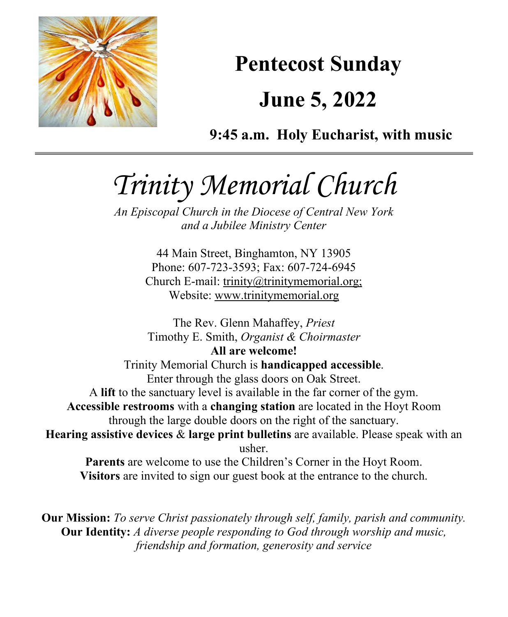

# **Pentecost Sunday June 5, 2022**

 **9:45 a.m. Holy Eucharist, with music**

*Trinity Memorial Church*

*An Episcopal Church in the Diocese of Central New York and a Jubilee Ministry Center* 

> 44 Main Street, Binghamton, NY 13905 Phone: 607-723-3593; Fax: 607-724-6945 Church E-mail: trinity@trinitymemorial.org; Website: www.trinitymemorial.org

The Rev. Glenn Mahaffey, *Priest* Timothy E. Smith, *Organist & Choirmaster*  **All are welcome!**

Trinity Memorial Church is **handicapped accessible**. Enter through the glass doors on Oak Street. A **lift** to the sanctuary level is available in the far corner of the gym. **Accessible restrooms** with a **changing station** are located in the Hoyt Room through the large double doors on the right of the sanctuary. **Hearing assistive devices** & **large print bulletins** are available. Please speak with an usher.

**Parents** are welcome to use the Children's Corner in the Hoyt Room. **Visitors** are invited to sign our guest book at the entrance to the church.

**Our Mission:** *To serve Christ passionately through self, family, parish and community.*  **Our Identity:** *A diverse people responding to God through worship and music, friendship and formation, generosity and service*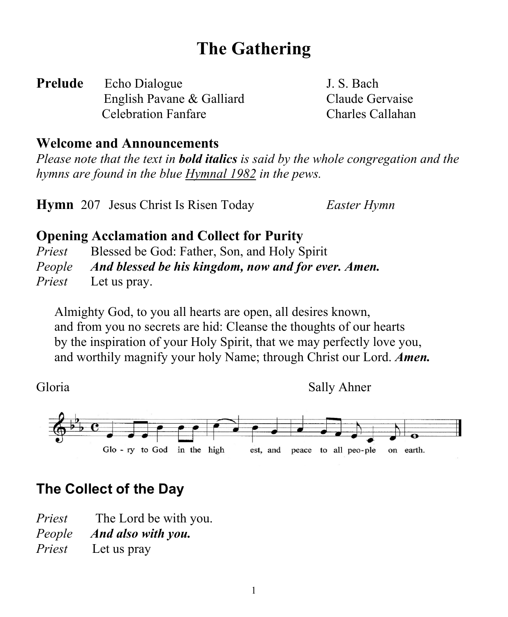# **The Gathering**

**Prelude** Echo Dialogue J. S. Bach English Pavane & Galliard Claude Gervaise Celebration Fanfare Charles Callahan

#### **Welcome and Announcements**

*Please note that the text in bold italics is said by the whole congregation and the hymns are found in the blue Hymnal 1982 in the pews.* 

**Hymn** 207 Jesus Christ Is Risen Today *Easter Hymn*

#### **Opening Acclamation and Collect for Purity**

| Priest | Blessed be God: Father, Son, and Holy Spirit               |
|--------|------------------------------------------------------------|
|        | People And blessed be his kingdom, now and for ever. Amen. |
|        | <i>Priest</i> Let us pray.                                 |

Almighty God, to you all hearts are open, all desires known, and from you no secrets are hid: Cleanse the thoughts of our hearts by the inspiration of your Holy Spirit, that we may perfectly love you, and worthily magnify your holy Name; through Christ our Lord. *Amen.* 

Gloria Sally Ahner



# **The Collect of the Day**

*Priest* The Lord be with you. *People And also with you. Priest* Let us pray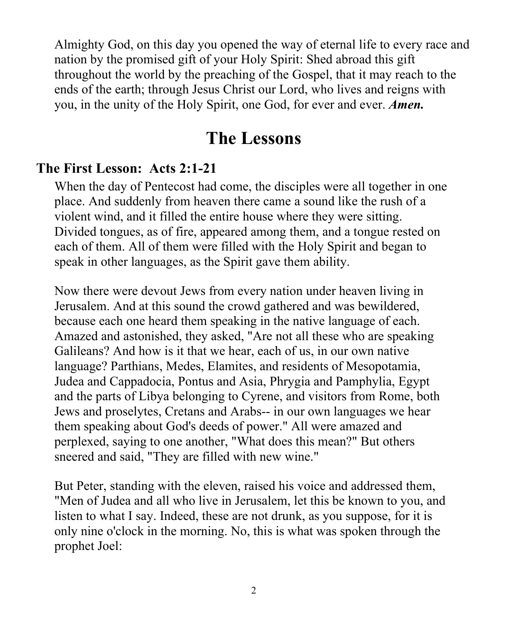Almighty God, on this day you opened the way of eternal life to every race and nation by the promised gift of your Holy Spirit: Shed abroad this gift throughout the world by the preaching of the Gospel, that it may reach to the ends of the earth; through Jesus Christ our Lord, who lives and reigns with you, in the unity of the Holy Spirit, one God, for ever and ever. *Amen.*

# **The Lessons**

#### **The First Lesson: Acts 2:1-21**

When the day of Pentecost had come, the disciples were all together in one place. And suddenly from heaven there came a sound like the rush of a violent wind, and it filled the entire house where they were sitting. Divided tongues, as of fire, appeared among them, and a tongue rested on each of them. All of them were filled with the Holy Spirit and began to speak in other languages, as the Spirit gave them ability.

Now there were devout Jews from every nation under heaven living in Jerusalem. And at this sound the crowd gathered and was bewildered, because each one heard them speaking in the native language of each. Amazed and astonished, they asked, "Are not all these who are speaking Galileans? And how is it that we hear, each of us, in our own native language? Parthians, Medes, Elamites, and residents of Mesopotamia, Judea and Cappadocia, Pontus and Asia, Phrygia and Pamphylia, Egypt and the parts of Libya belonging to Cyrene, and visitors from Rome, both Jews and proselytes, Cretans and Arabs-- in our own languages we hear them speaking about God's deeds of power." All were amazed and perplexed, saying to one another, "What does this mean?" But others sneered and said, "They are filled with new wine."

But Peter, standing with the eleven, raised his voice and addressed them, "Men of Judea and all who live in Jerusalem, let this be known to you, and listen to what I say. Indeed, these are not drunk, as you suppose, for it is only nine o'clock in the morning. No, this is what was spoken through the prophet Joel: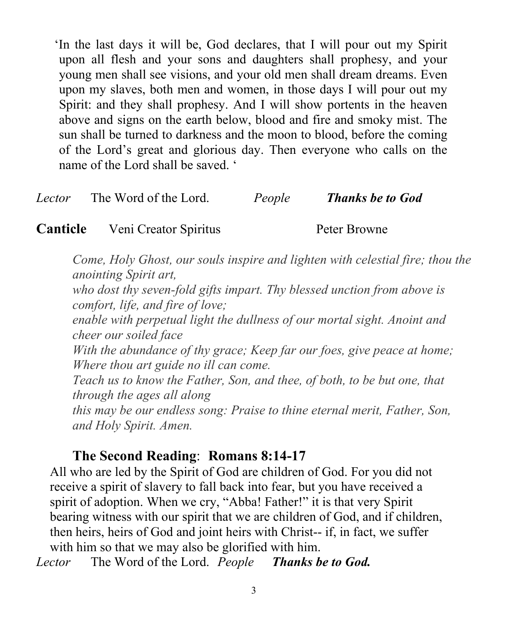'In the last days it will be, God declares, that I will pour out my Spirit upon all flesh and your sons and daughters shall prophesy, and your young men shall see visions, and your old men shall dream dreams. Even upon my slaves, both men and women, in those days I will pour out my Spirit: and they shall prophesy. And I will show portents in the heaven above and signs on the earth below, blood and fire and smoky mist. The sun shall be turned to darkness and the moon to blood, before the coming of the Lord's great and glorious day. Then everyone who calls on the name of the Lord shall be saved. '

| Lector | The Word of the Lord. | People | <b>Thanks be to God</b> |
|--------|-----------------------|--------|-------------------------|
|--------|-----------------------|--------|-------------------------|

#### **Canticle** Veni Creator Spiritus Peter Browne

*Come, Holy Ghost, our souls inspire and lighten with celestial fire; thou the anointing Spirit art, who dost thy seven-fold gifts impart. Thy blessed unction from above is comfort, life, and fire of love; enable with perpetual light the dullness of our mortal sight. Anoint and cheer our soiled face With the abundance of thy grace; Keep far our foes, give peace at home; Where thou art guide no ill can come. Teach us to know the Father, Son, and thee, of both, to be but one, that through the ages all along this may be our endless song: Praise to thine eternal merit, Father, Son, and Holy Spirit. Amen.* 

#### **The Second Reading**: **Romans 8:14-17**

All who are led by the Spirit of God are children of God. For you did not receive a spirit of slavery to fall back into fear, but you have received a spirit of adoption. When we cry, "Abba! Father!" it is that very Spirit bearing witness with our spirit that we are children of God, and if children, then heirs, heirs of God and joint heirs with Christ-- if, in fact, we suffer with him so that we may also be glorified with him.

*Lector* The Word of the Lord. *People Thanks be to God.*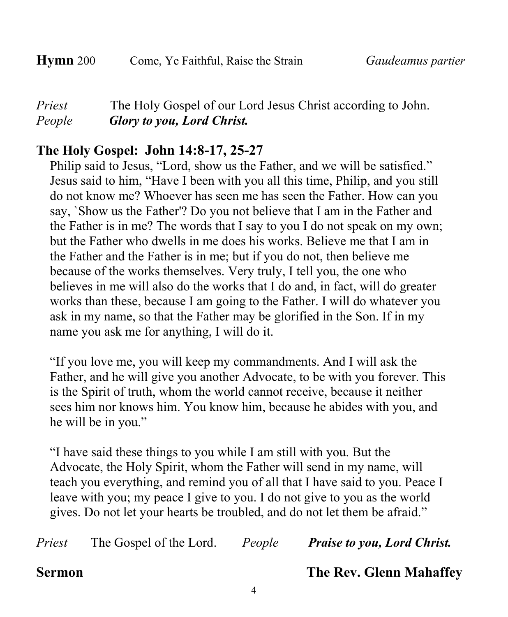#### *Priest* The Holy Gospel of our Lord Jesus Christ according to John. *People Glory to you, Lord Christ.*

### **The Holy Gospel: John 14:8-17, 25-27**

Philip said to Jesus, "Lord, show us the Father, and we will be satisfied." Jesus said to him, "Have I been with you all this time, Philip, and you still do not know me? Whoever has seen me has seen the Father. How can you say, `Show us the Father'? Do you not believe that I am in the Father and the Father is in me? The words that I say to you I do not speak on my own; but the Father who dwells in me does his works. Believe me that I am in the Father and the Father is in me; but if you do not, then believe me because of the works themselves. Very truly, I tell you, the one who believes in me will also do the works that I do and, in fact, will do greater works than these, because I am going to the Father. I will do whatever you ask in my name, so that the Father may be glorified in the Son. If in my name you ask me for anything, I will do it.

"If you love me, you will keep my commandments. And I will ask the Father, and he will give you another Advocate, to be with you forever. This is the Spirit of truth, whom the world cannot receive, because it neither sees him nor knows him. You know him, because he abides with you, and he will be in you."

"I have said these things to you while I am still with you. But the Advocate, the Holy Spirit, whom the Father will send in my name, will teach you everything, and remind you of all that I have said to you. Peace I leave with you; my peace I give to you. I do not give to you as the world gives. Do not let your hearts be troubled, and do not let them be afraid."

*Priest* The Gospel of the Lord. *People Praise to you, Lord Christ.*

#### **Sermon The Rev. Glenn Mahaffey**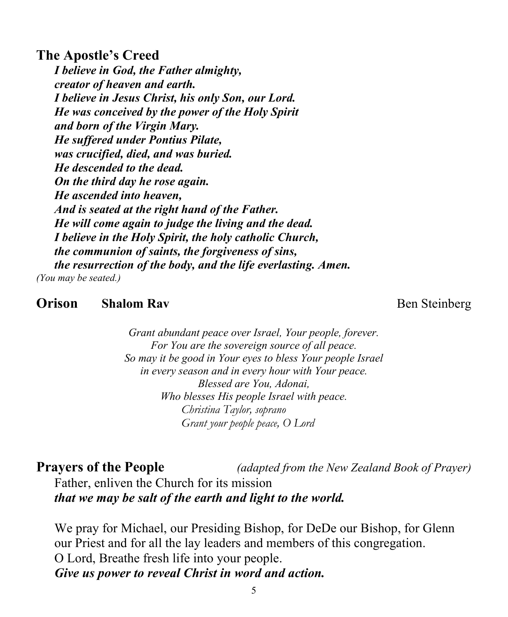#### **The Apostle's Creed**

*I believe in God, the Father almighty, creator of heaven and earth. I believe in Jesus Christ, his only Son, our Lord. He was conceived by the power of the Holy Spirit and born of the Virgin Mary. He suffered under Pontius Pilate, was crucified, died, and was buried. He descended to the dead. On the third day he rose again. He ascended into heaven, And is seated at the right hand of the Father. He will come again to judge the living and the dead. I believe in the Holy Spirit, the holy catholic Church, the communion of saints, the forgiveness of sins, the resurrection of the body, and the life everlasting. Amen. (You may be seated.)*

**Orison Shalom Rav** Ben Steinberg

*Grant abundant peace over Israel, Your people, forever. For You are the sovereign source of all peace. So may it be good in Your eyes to bless Your people Israel in every season and in every hour with Your peace. Blessed are You, Adonai, Who blesses His people Israel with peace. Christina Taylor, soprano Grant your people peace, O Lord*

**Prayers of the People** *(adapted from the New Zealand Book of Prayer)* Father, enliven the Church for its mission *that we may be salt of the earth and light to the world.*

We pray for Michael, our Presiding Bishop, for DeDe our Bishop, for Glenn our Priest and for all the lay leaders and members of this congregation. O Lord, Breathe fresh life into your people. *Give us power to reveal Christ in word and action.*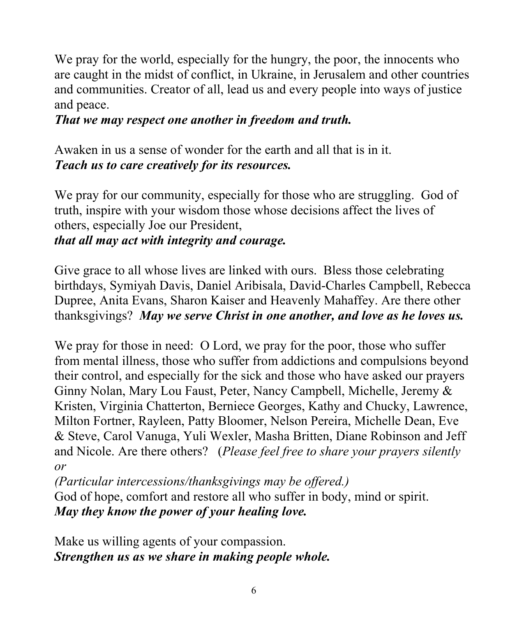We pray for the world, especially for the hungry, the poor, the innocents who are caught in the midst of conflict, in Ukraine, in Jerusalem and other countries and communities. Creator of all, lead us and every people into ways of justice and peace.

#### *That we may respect one another in freedom and truth.*

Awaken in us a sense of wonder for the earth and all that is in it. *Teach us to care creatively for its resources.*

We pray for our community, especially for those who are struggling. God of truth, inspire with your wisdom those whose decisions affect the lives of others, especially Joe our President,

# *that all may act with integrity and courage.*

Give grace to all whose lives are linked with ours. Bless those celebrating birthdays, Symiyah Davis, Daniel Aribisala, David-Charles Campbell, Rebecca Dupree, Anita Evans, Sharon Kaiser and Heavenly Mahaffey. Are there other thanksgivings? *May we serve Christ in one another, and love as he loves us.*

We pray for those in need: O Lord, we pray for the poor, those who suffer from mental illness, those who suffer from addictions and compulsions beyond their control, and especially for the sick and those who have asked our prayers Ginny Nolan, Mary Lou Faust, Peter, Nancy Campbell, Michelle, Jeremy & Kristen, Virginia Chatterton, Berniece Georges, Kathy and Chucky, Lawrence, Milton Fortner, Rayleen, Patty Bloomer, Nelson Pereira, Michelle Dean, Eve & Steve, Carol Vanuga, Yuli Wexler, Masha Britten, Diane Robinson and Jeff and Nicole. Are there others? (*Please feel free to share your prayers silently or*

*(Particular intercessions/thanksgivings may be offered.)* God of hope, comfort and restore all who suffer in body, mind or spirit. *May they know the power of your healing love.*

Make us willing agents of your compassion. *Strengthen us as we share in making people whole.*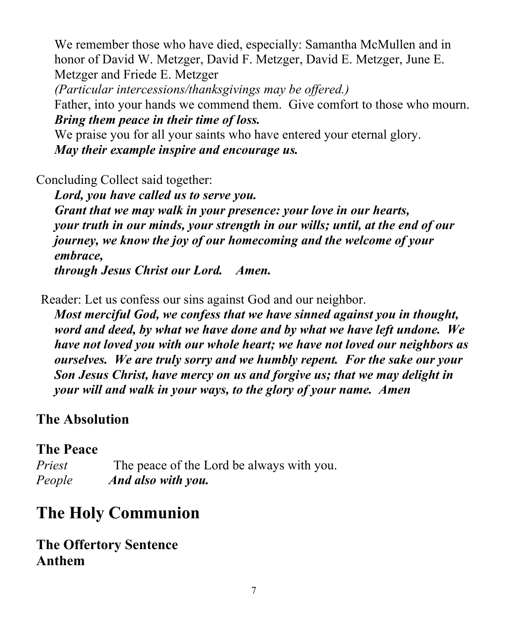We remember those who have died, especially: Samantha McMullen and in honor of David W. Metzger, David F. Metzger, David E. Metzger, June E. Metzger and Friede E. Metzger

*(Particular intercessions/thanksgivings may be offered.)*

Father, into your hands we commend them. Give comfort to those who mourn. *Bring them peace in their time of loss.*

We praise you for all your saints who have entered your eternal glory. *May their example inspire and encourage us.*

Concluding Collect said together:

*Lord, you have called us to serve you. Grant that we may walk in your presence: your love in our hearts, your truth in our minds, your strength in our wills; until, at the end of our journey, we know the joy of our homecoming and the welcome of your embrace, through Jesus Christ our Lord. Amen.*

Reader: Let us confess our sins against God and our neighbor.

*Most merciful God, we confess that we have sinned against you in thought, word and deed, by what we have done and by what we have left undone. We have not loved you with our whole heart; we have not loved our neighbors as ourselves. We are truly sorry and we humbly repent. For the sake our your Son Jesus Christ, have mercy on us and forgive us; that we may delight in your will and walk in your ways, to the glory of your name. Amen*

### **The Absolution**

### **The Peace**

*Priest* The peace of the Lord be always with you. *People And also with you.*

# **The Holy Communion**

**The Offertory Sentence Anthem**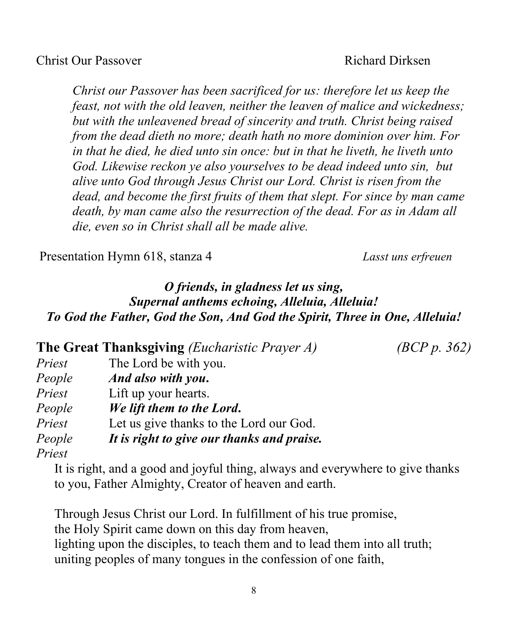#### Christ Our Passover **Richard Dirksen** Richard Dirksen

*Christ our Passover has been sacrificed for us: therefore let us keep the feast, not with the old leaven, neither the leaven of malice and wickedness; but with the unleavened bread of sincerity and truth. Christ being raised from the dead dieth no more; death hath no more dominion over him. For in that he died, he died unto sin once: but in that he liveth, he liveth unto God. Likewise reckon ye also yourselves to be dead indeed unto sin, but alive unto God through Jesus Christ our Lord. Christ is risen from the dead, and become the first fruits of them that slept. For since by man came death, by man came also the resurrection of the dead. For as in Adam all die, even so in Christ shall all be made alive.*

Presentation Hymn 618, stanza 4 *Lasst uns erfreuen* 

#### *O friends, in gladness let us sing, Supernal anthems echoing, Alleluia, Alleluia! To God the Father, God the Son, And God the Spirit, Three in One, Alleluia!*

|        | <b>The Great Thanksgiving (Eucharistic Prayer A)</b> | (BCP p. 362) |
|--------|------------------------------------------------------|--------------|
| Priest | The Lord be with you.                                |              |
| People | And also with you.                                   |              |
| Priest | Lift up your hearts.                                 |              |
| People | We lift them to the Lord.                            |              |
| Priest | Let us give thanks to the Lord our God.              |              |
| People | It is right to give our thanks and praise.           |              |
| Priest |                                                      |              |
|        |                                                      |              |

It is right, and a good and joyful thing, always and everywhere to give thanks to you, Father Almighty, Creator of heaven and earth.

Through Jesus Christ our Lord. In fulfillment of his true promise, the Holy Spirit came down on this day from heaven, lighting upon the disciples, to teach them and to lead them into all truth; uniting peoples of many tongues in the confession of one faith,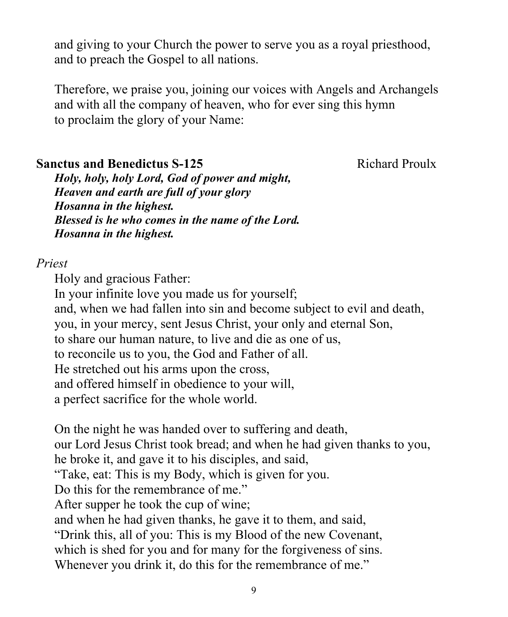and giving to your Church the power to serve you as a royal priesthood, and to preach the Gospel to all nations.

Therefore, we praise you, joining our voices with Angels and Archangels and with all the company of heaven, who for ever sing this hymn to proclaim the glory of your Name:

#### **Sanctus and Benedictus S-125** Richard Proulx

*Holy, holy, holy Lord, God of power and might, Heaven and earth are full of your glory Hosanna in the highest. Blessed is he who comes in the name of the Lord. Hosanna in the highest.* 

#### *Priest*

Holy and gracious Father: In your infinite love you made us for yourself; and, when we had fallen into sin and become subject to evil and death, you, in your mercy, sent Jesus Christ, your only and eternal Son, to share our human nature, to live and die as one of us, to reconcile us to you, the God and Father of all. He stretched out his arms upon the cross, and offered himself in obedience to your will, a perfect sacrifice for the whole world.

On the night he was handed over to suffering and death, our Lord Jesus Christ took bread; and when he had given thanks to you, he broke it, and gave it to his disciples, and said, "Take, eat: This is my Body, which is given for you. Do this for the remembrance of me." After supper he took the cup of wine; and when he had given thanks, he gave it to them, and said, "Drink this, all of you: This is my Blood of the new Covenant, which is shed for you and for many for the forgiveness of sins. Whenever you drink it, do this for the remembrance of me."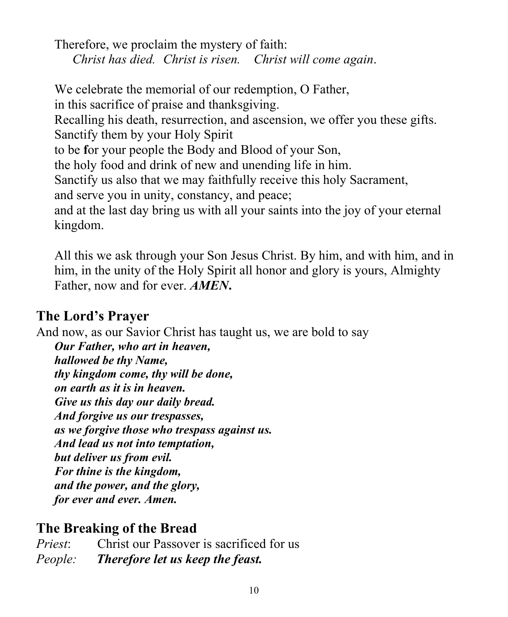Therefore, we proclaim the mystery of faith: *Christ has died. Christ is risen. Christ will come again*.

We celebrate the memorial of our redemption, O Father, in this sacrifice of praise and thanksgiving. Recalling his death, resurrection, and ascension, we offer you these gifts. Sanctify them by your Holy Spirit to be **f**or your people the Body and Blood of your Son, the holy food and drink of new and unending life in him. Sanctify us also that we may faithfully receive this holy Sacrament, and serve you in unity, constancy, and peace; and at the last day bring us with all your saints into the joy of your eternal kingdom.

All this we ask through your Son Jesus Christ. By him, and with him, and in him, in the unity of the Holy Spirit all honor and glory is yours, Almighty Father, now and for ever. *AMEN***.**

# **The Lord's Prayer**

And now, as our Savior Christ has taught us, we are bold to say

*Our Father, who art in heaven, hallowed be thy Name, thy kingdom come, thy will be done, on earth as it is in heaven. Give us this day our daily bread. And forgive us our trespasses, as we forgive those who trespass against us. And lead us not into temptation, but deliver us from evil. For thine is the kingdom, and the power, and the glory, for ever and ever. Amen.*

# **The Breaking of the Bread**

*Priest*: Christ our Passover is sacrificed for us *People: Therefore let us keep the feast.*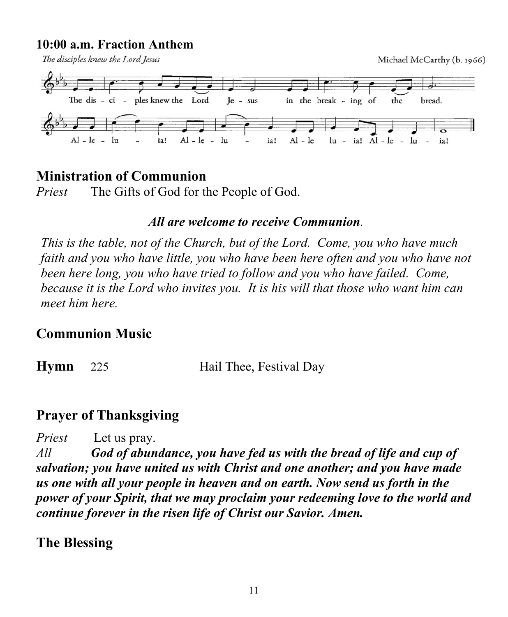#### **10:00 a.m. Fraction Anthem**



### **Ministration of Communion**

*Priest* The Gifts of God for the People of God.

#### *All are welcome to receive Communion.*

*This is the table, not of the Church, but of the Lord. Come, you who have much faith and you who have little, you who have been here often and you who have not been here long, you who have tried to follow and you who have failed. Come, because it is the Lord who invites you. It is his will that those who want him can meet him here.*

# **Communion Music**

**Hymn** 225 Hail Thee, Festival Day

# **Prayer of Thanksgiving**

*Priest* Let us pray.

*All God of abundance, you have fed us with the bread of life and cup of salvation; you have united us with Christ and one another; and you have made us one with all your people in heaven and on earth. Now send us forth in the power of your Spirit, that we may proclaim your redeeming love to the world and continue forever in the risen life of Christ our Savior. Amen.*

**The Blessing**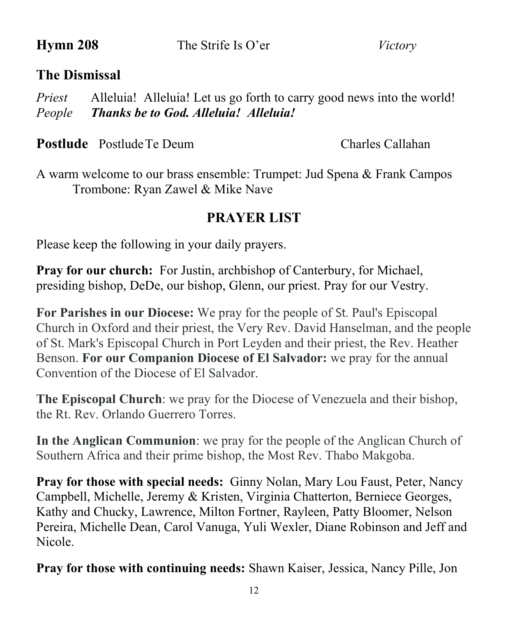**Hymn 208** The Strife Is O'er *Victory*

# **The Dismissal**

*Priest* Alleluia! Alleluia! Let us go forth to carry good news into the world! *People Thanks be to God. Alleluia! Alleluia!* 

**Postlude** Postlude Te Deum Charles Callahan

A warm welcome to our brass ensemble: Trumpet: Jud Spena & Frank Campos Trombone: Ryan Zawel & Mike Nave

# **PRAYER LIST**

Please keep the following in your daily prayers.

**Pray for our church:** For Justin, archbishop of Canterbury, for Michael, presiding bishop, DeDe, our bishop, Glenn, our priest. Pray for our Vestry.

**For Parishes in our Diocese:** We pray for the people of St. Paul's Episcopal Church in Oxford and their priest, the Very Rev. David Hanselman, and the people of St. Mark's Episcopal Church in Port Leyden and their priest, the Rev. Heather Benson. **For our Companion Diocese of El Salvador:** we pray for the annual Convention of the Diocese of El Salvador.

**The Episcopal Church**: we pray for the Diocese of Venezuela and their bishop, the Rt. Rev. Orlando Guerrero Torres.

**In the Anglican Communion**: we pray for the people of the Anglican Church of Southern Africa and their prime bishop, the Most Rev. Thabo Makgoba.

**Pray for those with special needs:** Ginny Nolan, Mary Lou Faust, Peter, Nancy Campbell, Michelle, Jeremy & Kristen, Virginia Chatterton, Berniece Georges, Kathy and Chucky, Lawrence, Milton Fortner, Rayleen, Patty Bloomer, Nelson Pereira, Michelle Dean, Carol Vanuga, Yuli Wexler, Diane Robinson and Jeff and Nicole.

**Pray for those with continuing needs:** Shawn Kaiser, Jessica, Nancy Pille, Jon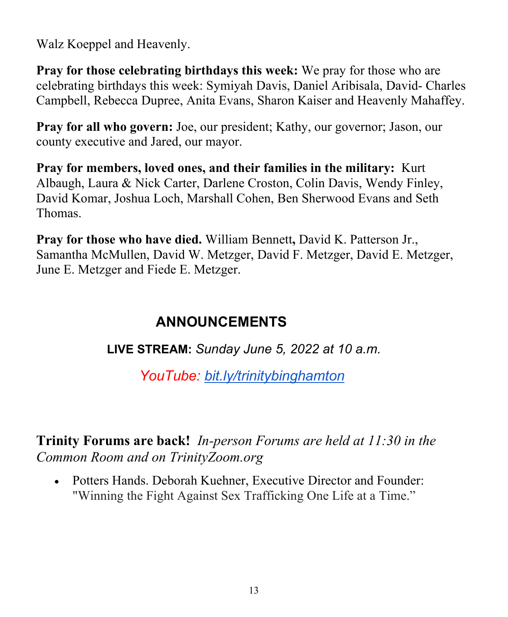Walz Koeppel and Heavenly.

**Pray for those celebrating birthdays this week:** We pray for those who are celebrating birthdays this week: Symiyah Davis, Daniel Aribisala, David- Charles Campbell, Rebecca Dupree, Anita Evans, Sharon Kaiser and Heavenly Mahaffey.

**Pray for all who govern:** Joe, our president; Kathy, our governor; Jason, our county executive and Jared, our mayor.

**Pray for members, loved ones, and their families in the military:** Kurt Albaugh, Laura & Nick Carter, Darlene Croston, Colin Davis, Wendy Finley, David Komar, Joshua Loch, Marshall Cohen, Ben Sherwood Evans and Seth Thomas.

**Pray for those who have died.** William Bennett**,** David K. Patterson Jr., Samantha McMullen, David W. Metzger, David F. Metzger, David E. Metzger, June E. Metzger and Fiede E. Metzger.

# **ANNOUNCEMENTS**

 **LIVE STREAM:** *Sunday June 5, 2022 at 10 a.m.*

 *YouTube: [bit.ly/trinitybinghamton](https://www.youtube.com/c/TrinityMemorialEpiscopalChurch)*

**Trinity Forums are back!** *In-person Forums are held at 11:30 in the Common Room and on TrinityZoom.org*

• Potters Hands. Deborah Kuehner, Executive Director and Founder: "Winning the Fight Against Sex Trafficking One Life at a Time."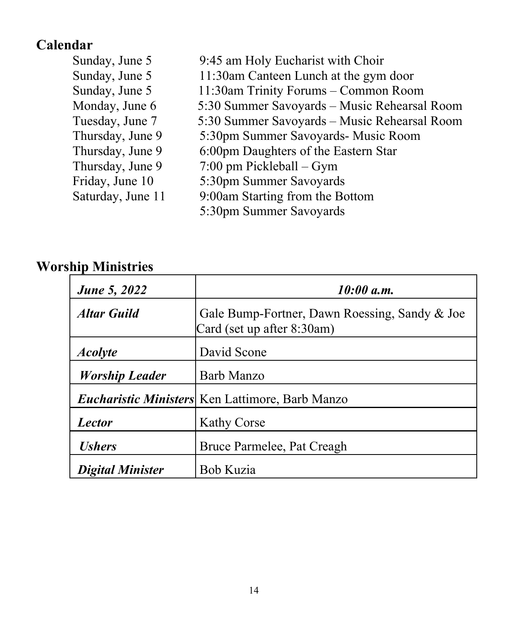# **Calendar**

| Sunday, June 5    | 9:45 am Holy Eucharist with Choir            |
|-------------------|----------------------------------------------|
| Sunday, June 5    | 11:30am Canteen Lunch at the gym door        |
| Sunday, June 5    | 11:30am Trinity Forums - Common Room         |
| Monday, June 6    | 5:30 Summer Savoyards - Music Rehearsal Room |
| Tuesday, June 7   | 5:30 Summer Savoyards – Music Rehearsal Room |
| Thursday, June 9  | 5:30pm Summer Savoyards- Music Room          |
| Thursday, June 9  | 6:00pm Daughters of the Eastern Star         |
| Thursday, June 9  | 7:00 pm Pickleball $-$ Gym                   |
| Friday, June 10   | 5:30pm Summer Savoyards                      |
| Saturday, June 11 | 9:00am Starting from the Bottom              |
|                   | 5:30pm Summer Savoyards                      |

# **Worship Ministries**

| <b>June 5, 2022</b>     | $10:00$ a.m.                                                                |
|-------------------------|-----------------------------------------------------------------------------|
| <b>Altar Guild</b>      | Gale Bump-Fortner, Dawn Roessing, Sandy & Joe<br>Card (set up after 8:30am) |
| <b>Acolyte</b>          | David Scone                                                                 |
| <b>Worship Leader</b>   | Barb Manzo                                                                  |
|                         | <b>Eucharistic Ministers</b> Ken Lattimore, Barb Manzo                      |
| <b>Lector</b>           | <b>Kathy Corse</b>                                                          |
| <b>Ushers</b>           | Bruce Parmelee, Pat Creagh                                                  |
| <b>Digital Minister</b> | <b>Bob Kuzia</b>                                                            |